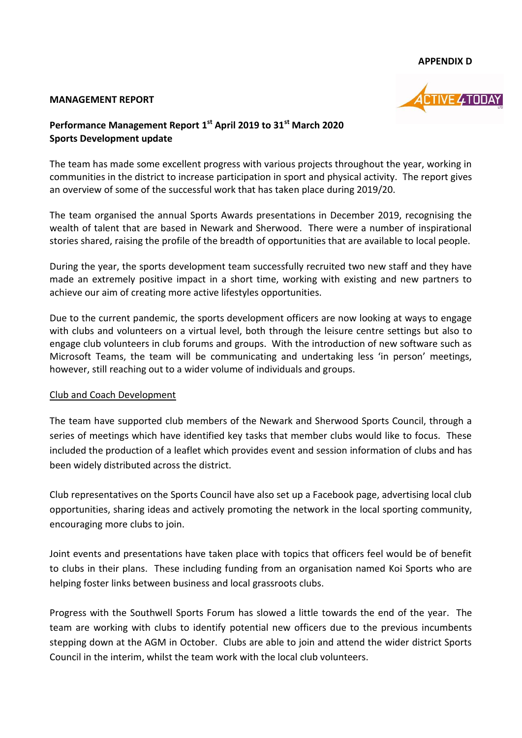#### **APPENDIX D**

#### **MANAGEMENT REPORT**



# **Performance Management Report 1 st April 2019 to 31st March 2020 Sports Development update**

The team has made some excellent progress with various projects throughout the year, working in communities in the district to increase participation in sport and physical activity. The report gives an overview of some of the successful work that has taken place during 2019/20.

The team organised the annual Sports Awards presentations in December 2019, recognising the wealth of talent that are based in Newark and Sherwood. There were a number of inspirational stories shared, raising the profile of the breadth of opportunities that are available to local people.

During the year, the sports development team successfully recruited two new staff and they have made an extremely positive impact in a short time, working with existing and new partners to achieve our aim of creating more active lifestyles opportunities.

Due to the current pandemic, the sports development officers are now looking at ways to engage with clubs and volunteers on a virtual level, both through the leisure centre settings but also to engage club volunteers in club forums and groups. With the introduction of new software such as Microsoft Teams, the team will be communicating and undertaking less 'in person' meetings, however, still reaching out to a wider volume of individuals and groups.

## Club and Coach Development

The team have supported club members of the Newark and Sherwood Sports Council, through a series of meetings which have identified key tasks that member clubs would like to focus. These included the production of a leaflet which provides event and session information of clubs and has been widely distributed across the district.

Club representatives on the Sports Council have also set up a Facebook page, advertising local club opportunities, sharing ideas and actively promoting the network in the local sporting community, encouraging more clubs to join.

Joint events and presentations have taken place with topics that officers feel would be of benefit to clubs in their plans. These including funding from an organisation named Koi Sports who are helping foster links between business and local grassroots clubs.

Progress with the Southwell Sports Forum has slowed a little towards the end of the year. The team are working with clubs to identify potential new officers due to the previous incumbents stepping down at the AGM in October. Clubs are able to join and attend the wider district Sports Council in the interim, whilst the team work with the local club volunteers.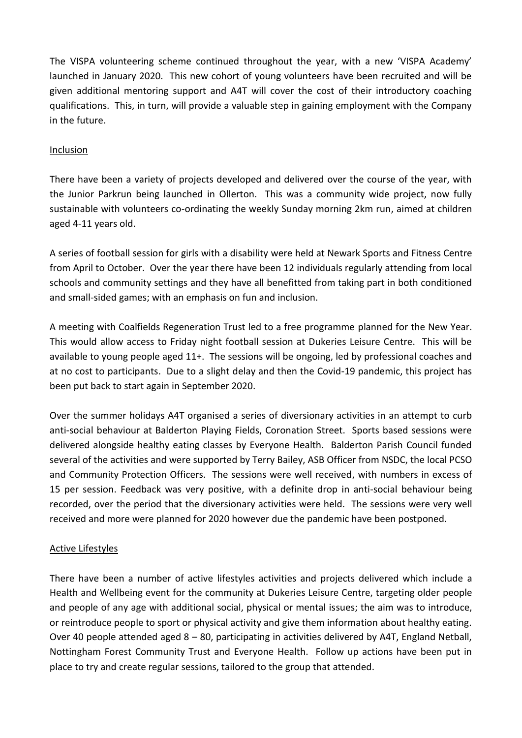The VISPA volunteering scheme continued throughout the year, with a new 'VISPA Academy' launched in January 2020. This new cohort of young volunteers have been recruited and will be given additional mentoring support and A4T will cover the cost of their introductory coaching qualifications. This, in turn, will provide a valuable step in gaining employment with the Company in the future.

## Inclusion

There have been a variety of projects developed and delivered over the course of the year, with the Junior Parkrun being launched in Ollerton. This was a community wide project, now fully sustainable with volunteers co-ordinating the weekly Sunday morning 2km run, aimed at children aged 4-11 years old.

A series of football session for girls with a disability were held at Newark Sports and Fitness Centre from April to October. Over the year there have been 12 individuals regularly attending from local schools and community settings and they have all benefitted from taking part in both conditioned and small-sided games; with an emphasis on fun and inclusion.

A meeting with Coalfields Regeneration Trust led to a free programme planned for the New Year. This would allow access to Friday night football session at Dukeries Leisure Centre. This will be available to young people aged 11+. The sessions will be ongoing, led by professional coaches and at no cost to participants. Due to a slight delay and then the Covid-19 pandemic, this project has been put back to start again in September 2020.

Over the summer holidays A4T organised a series of diversionary activities in an attempt to curb anti-social behaviour at Balderton Playing Fields, Coronation Street. Sports based sessions were delivered alongside healthy eating classes by Everyone Health. Balderton Parish Council funded several of the activities and were supported by Terry Bailey, ASB Officer from NSDC, the local PCSO and Community Protection Officers. The sessions were well received, with numbers in excess of 15 per session. Feedback was very positive, with a definite drop in anti-social behaviour being recorded, over the period that the diversionary activities were held. The sessions were very well received and more were planned for 2020 however due the pandemic have been postponed.

## Active Lifestyles

There have been a number of active lifestyles activities and projects delivered which include a Health and Wellbeing event for the community at Dukeries Leisure Centre, targeting older people and people of any age with additional social, physical or mental issues; the aim was to introduce, or reintroduce people to sport or physical activity and give them information about healthy eating. Over 40 people attended aged 8 – 80, participating in activities delivered by A4T, England Netball, Nottingham Forest Community Trust and Everyone Health. Follow up actions have been put in place to try and create regular sessions, tailored to the group that attended.